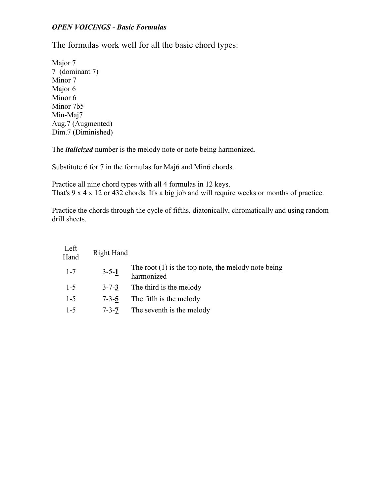## *OPEN VOICINGS - Basic Formulas*

The formulas work well for all the basic chord types:

Major 7 7 (dominant 7) Minor 7 Major 6 Minor 6 Minor 7b5 Min-Maj7 Aug.7 (Augmented) Dim.7 (Diminished)

The *italicized* number is the melody note or note being harmonized.

Substitute 6 for 7 in the formulas for Maj6 and Min6 chords.

Practice all nine chord types with all 4 formulas in 12 keys. That's 9 x 4 x 12 or 432 chords. It's a big job and will require weeks or months of practice.

Practice the chords through the cycle of fifths, diatonically, chromatically and using random drill sheets.

| Left<br>Hand | Right Hand  |                                                                     |
|--------------|-------------|---------------------------------------------------------------------|
| $1 - 7$      | $3 - 5 - 1$ | The root $(1)$ is the top note, the melody note being<br>harmonized |
| $1 - 5$      | $3 - 7 - 3$ | The third is the melody                                             |
| $1-5$        | $7 - 3 - 5$ | The fifth is the melody                                             |
| $1 - 5$      | $7 - 3 - 7$ | The seventh is the melody                                           |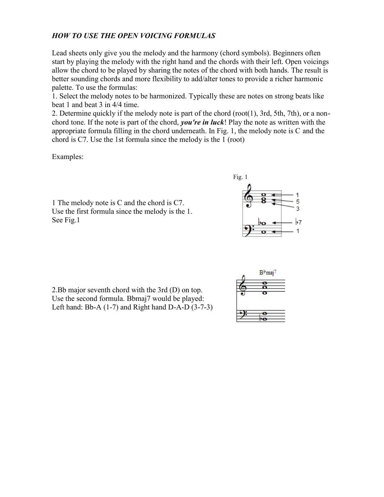## *HOW TO USE THE OPEN VOICING FORMULAS*

Lead sheets only give you the melody and the harmony (chord symbols). Beginners often start by playing the melody with the right hand and the chords with their left. Open voicings allow the chord to be played by sharing the notes of the chord with both hands. The result is better sounding chords and more flexibility to add/alter tones to provide a richer harmonic palette. To use the formulas:

1. Select the melody notes to be harmonized. Typically these are notes on strong beats like beat 1 and beat 3 in 4/4 time.

2. Determine quickly if the melody note is part of the chord (root(1), 3rd, 5th, 7th), or a non chord tone. If the note is part of the chord, *you're in luck*! Play the note as written with the appropriate formula filling in the chord underneath. In Fig. 1, the melody note is C and the chord is C7. Use the 1st formula since the melody is the 1 (root)

Examples:

1 The melody note is C and the chord is C7. Use the first formula since the melody is the 1. See Fig.1



2.Bb major seventh chord with the 3rd (D) on top. Use the second formula. Bbmaj7 would be played: Left hand: Bb-A (1-7) and Right hand D-A-D (3-7-3)